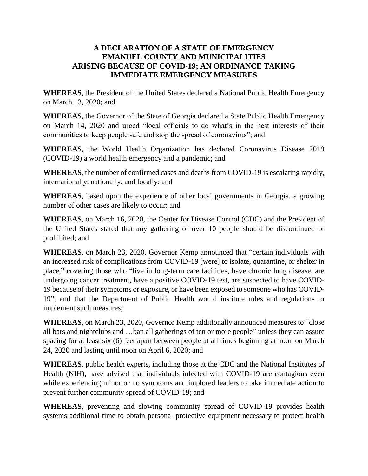# **A DECLARATION OF A STATE OF EMERGENCY EMANUEL COUNTY AND MUNICIPALITIES ARISING BECAUSE OF COVID-19; AN ORDINANCE TAKING IMMEDIATE EMERGENCY MEASURES**

**WHEREAS**, the President of the United States declared a National Public Health Emergency on March 13, 2020; and

**WHEREAS**, the Governor of the State of Georgia declared a State Public Health Emergency on March 14, 2020 and urged "local officials to do what's in the best interests of their communities to keep people safe and stop the spread of coronavirus"; and

**WHEREAS**, the World Health Organization has declared Coronavirus Disease 2019 (COVID-19) a world health emergency and a pandemic; and

**WHEREAS**, the number of confirmed cases and deaths from COVID-19 is escalating rapidly, internationally, nationally, and locally; and

**WHEREAS**, based upon the experience of other local governments in Georgia, a growing number of other cases are likely to occur; and

**WHEREAS**, on March 16, 2020, the Center for Disease Control (CDC) and the President of the United States stated that any gathering of over 10 people should be discontinued or prohibited; and

**WHEREAS**, on March 23, 2020, Governor Kemp announced that "certain individuals with an increased risk of complications from COVID-19 [were] to isolate, quarantine, or shelter in place," covering those who "live in long-term care facilities, have chronic lung disease, are undergoing cancer treatment, have a positive COVID-19 test, are suspected to have COVID-19 because of their symptoms or exposure, or have been exposed to someone who has COVID-19", and that the Department of Public Health would institute rules and regulations to implement such measures;

**WHEREAS**, on March 23, 2020, Governor Kemp additionally announced measures to "close all bars and nightclubs and …ban all gatherings of ten or more people" unless they can assure spacing for at least six (6) feet apart between people at all times beginning at noon on March 24, 2020 and lasting until noon on April 6, 2020; and

**WHEREAS**, public health experts, including those at the CDC and the National Institutes of Health (NIH), have advised that individuals infected with COVID-19 are contagious even while experiencing minor or no symptoms and implored leaders to take immediate action to prevent further community spread of COVID-19; and

**WHEREAS**, preventing and slowing community spread of COVID-19 provides health systems additional time to obtain personal protective equipment necessary to protect health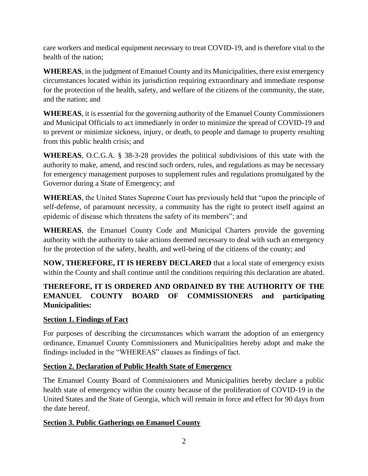care workers and medical equipment necessary to treat COVID-19, and is therefore vital to the health of the nation;

**WHEREAS**, in the judgment of Emanuel County and its Municipalities, there exist emergency circumstances located within its jurisdiction requiring extraordinary and immediate response for the protection of the health, safety, and welfare of the citizens of the community, the state, and the nation; and

**WHEREAS**, it is essential for the governing authority of the Emanuel County Commissioners and Municipal Officials to act immediately in order to minimize the spread of COVID-19 and to prevent or minimize sickness, injury, or death, to people and damage to property resulting from this public health crisis; and

**WHEREAS**, O.C.G.A. § 38-3-28 provides the political subdivisions of this state with the authority to make, amend, and rescind such orders, rules, and regulations as may be necessary for emergency management purposes to supplement rules and regulations promulgated by the Governor during a State of Emergency; and

**WHEREAS**, the United States Supreme Court has previously held that "upon the principle of self-defense, of paramount necessity, a community has the right to protect itself against an epidemic of disease which threatens the safety of its members"; and

**WHEREAS**, the Emanuel County Code and Municipal Charters provide the governing authority with the authority to take actions deemed necessary to deal with such an emergency for the protection of the safety, health, and well-being of the citizens of the county; and

**NOW, THEREFORE, IT IS HEREBY DECLARED** that a local state of emergency exists within the County and shall continue until the conditions requiring this declaration are abated.

# **THEREFORE, IT IS ORDERED AND ORDAINED BY THE AUTHORITY OF THE EMANUEL COUNTY BOARD OF COMMISSIONERS and participating Municipalities:**

# **Section 1. Findings of Fact**

For purposes of describing the circumstances which warrant the adoption of an emergency ordinance, Emanuel County Commissioners and Municipalities hereby adopt and make the findings included in the "WHEREAS" clauses as findings of fact.

# **Section 2. Declaration of Public Health State of Emergency**

The Emanuel County Board of Commissioners and Municipalities hereby declare a public health state of emergency within the county because of the proliferation of COVID-19 in the United States and the State of Georgia, which will remain in force and effect for 90 days from the date hereof.

# **Section 3. Public Gatherings on Emanuel County**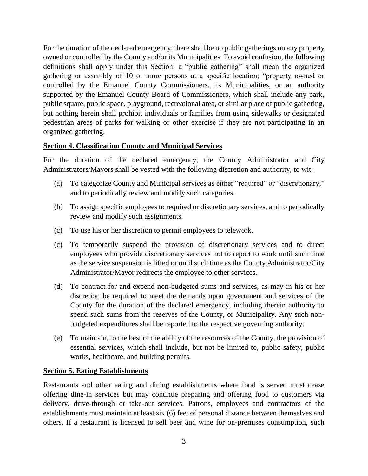For the duration of the declared emergency, there shall be no public gatherings on any property owned or controlled by the County and/or its Municipalities. To avoid confusion, the following definitions shall apply under this Section: a "public gathering" shall mean the organized gathering or assembly of 10 or more persons at a specific location; "property owned or controlled by the Emanuel County Commissioners, its Municipalities, or an authority supported by the Emanuel County Board of Commissioners, which shall include any park, public square, public space, playground, recreational area, or similar place of public gathering, but nothing herein shall prohibit individuals or families from using sidewalks or designated pedestrian areas of parks for walking or other exercise if they are not participating in an organized gathering.

# **Section 4. Classification County and Municipal Services**

For the duration of the declared emergency, the County Administrator and City Administrators/Mayors shall be vested with the following discretion and authority, to wit:

- (a) To categorize County and Municipal services as either "required" or "discretionary," and to periodically review and modify such categories.
- (b) To assign specific employees to required or discretionary services, and to periodically review and modify such assignments.
- (c) To use his or her discretion to permit employees to telework.
- (c) To temporarily suspend the provision of discretionary services and to direct employees who provide discretionary services not to report to work until such time as the service suspension is lifted or until such time as the County Administrator/City Administrator/Mayor redirects the employee to other services.
- (d) To contract for and expend non-budgeted sums and services, as may in his or her discretion be required to meet the demands upon government and services of the County for the duration of the declared emergency, including therein authority to spend such sums from the reserves of the County, or Municipality. Any such nonbudgeted expenditures shall be reported to the respective governing authority.
- (e) To maintain, to the best of the ability of the resources of the County, the provision of essential services, which shall include, but not be limited to, public safety, public works, healthcare, and building permits.

#### **Section 5. Eating Establishments**

Restaurants and other eating and dining establishments where food is served must cease offering dine-in services but may continue preparing and offering food to customers via delivery, drive-through or take-out services. Patrons, employees and contractors of the establishments must maintain at least six (6) feet of personal distance between themselves and others. If a restaurant is licensed to sell beer and wine for on-premises consumption, such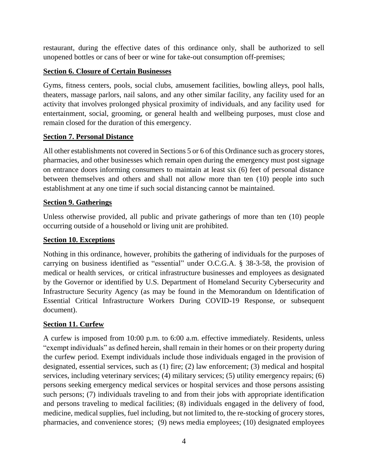restaurant, during the effective dates of this ordinance only, shall be authorized to sell unopened bottles or cans of beer or wine for take-out consumption off-premises;

## **Section 6. Closure of Certain Businesses**

Gyms, fitness centers, pools, social clubs, amusement facilities, bowling alleys, pool halls, theaters, massage parlors, nail salons, and any other similar facility, any facility used for an activity that involves prolonged physical proximity of individuals, and any facility used for entertainment, social, grooming, or general health and wellbeing purposes, must close and remain closed for the duration of this emergency.

# **Section 7. Personal Distance**

All other establishments not covered in Sections 5 or 6 of this Ordinance such as grocery stores, pharmacies, and other businesses which remain open during the emergency must post signage on entrance doors informing consumers to maintain at least six (6) feet of personal distance between themselves and others and shall not allow more than ten (10) people into such establishment at any one time if such social distancing cannot be maintained.

## **Section 9. Gatherings**

Unless otherwise provided, all public and private gatherings of more than ten (10) people occurring outside of a household or living unit are prohibited.

#### **Section 10. Exceptions**

Nothing in this ordinance, however, prohibits the gathering of individuals for the purposes of carrying on business identified as "essential" under O.C.G.A. § 38-3-58, the provision of medical or health services, or critical infrastructure businesses and employees as designated by the Governor or identified by U.S. Department of Homeland Security Cybersecurity and Infrastructure Security Agency (as may be found in the Memorandum on Identification of Essential Critical Infrastructure Workers During COVID-19 Response, or subsequent document).

#### **Section 11. Curfew**

A curfew is imposed from 10:00 p.m. to 6:00 a.m. effective immediately. Residents, unless "exempt individuals" as defined herein, shall remain in their homes or on their property during the curfew period. Exempt individuals include those individuals engaged in the provision of designated, essential services, such as (1) fire; (2) law enforcement; (3) medical and hospital services, including veterinary services; (4) military services; (5) utility emergency repairs; (6) persons seeking emergency medical services or hospital services and those persons assisting such persons; (7) individuals traveling to and from their jobs with appropriate identification and persons traveling to medical facilities; (8) individuals engaged in the delivery of food, medicine, medical supplies, fuel including, but not limited to, the re-stocking of grocery stores, pharmacies, and convenience stores; (9) news media employees; (10) designated employees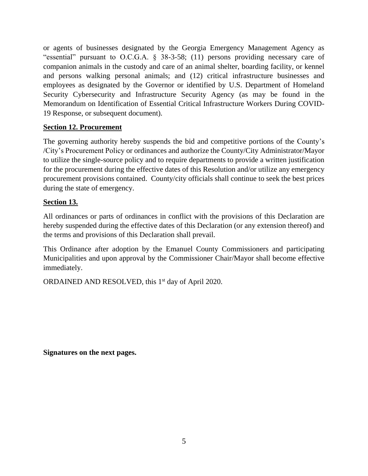or agents of businesses designated by the Georgia Emergency Management Agency as "essential" pursuant to O.C.G.A. § 38-3-58; (11) persons providing necessary care of companion animals in the custody and care of an animal shelter, boarding facility, or kennel and persons walking personal animals; and (12) critical infrastructure businesses and employees as designated by the Governor or identified by U.S. Department of Homeland Security Cybersecurity and Infrastructure Security Agency (as may be found in the Memorandum on Identification of Essential Critical Infrastructure Workers During COVID-19 Response, or subsequent document).

# **Section 12. Procurement**

The governing authority hereby suspends the bid and competitive portions of the County's /City's Procurement Policy or ordinances and authorize the County/City Administrator/Mayor to utilize the single-source policy and to require departments to provide a written justification for the procurement during the effective dates of this Resolution and/or utilize any emergency procurement provisions contained. County/city officials shall continue to seek the best prices during the state of emergency.

## **Section 13.**

All ordinances or parts of ordinances in conflict with the provisions of this Declaration are hereby suspended during the effective dates of this Declaration (or any extension thereof) and the terms and provisions of this Declaration shall prevail.

This Ordinance after adoption by the Emanuel County Commissioners and participating Municipalities and upon approval by the Commissioner Chair/Mayor shall become effective immediately.

ORDAINED AND RESOLVED, this 1<sup>st</sup> day of April 2020.

**Signatures on the next pages.**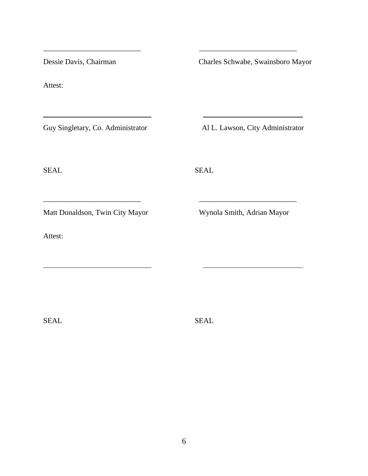Dessie Davis, Chairman Charles Schwabe, Swainsboro Mayor

Attest:

Guy Singletary, Co. Administrator Al L. Lawson, City Administrator

SEAL SEAL

\_\_\_\_\_\_\_\_\_\_\_\_\_\_\_\_\_\_\_\_\_\_\_\_\_\_ \_\_\_\_\_\_\_\_\_\_\_\_\_\_\_\_\_\_\_\_\_\_\_\_\_\_

\_\_\_\_\_\_\_\_\_\_\_\_\_\_\_\_\_\_\_\_\_\_\_\_\_\_ \_\_\_\_\_\_\_\_\_\_\_\_\_\_\_\_\_\_\_\_\_\_\_\_\_\_

Matt Donaldson, Twin City Mayor Wynola Smith, Adrian Mayor

Attest:

SEAL SEAL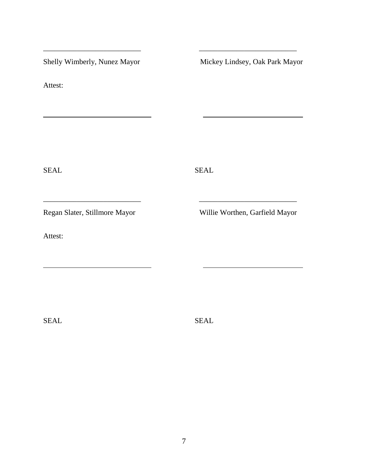Attest:

Shelly Wimberly, Nunez Mayor Mickey Lindsey, Oak Park Mayor

SEAL SEAL

\_\_\_\_\_\_\_\_\_\_\_\_\_\_\_\_\_\_\_\_\_\_\_\_\_\_ \_\_\_\_\_\_\_\_\_\_\_\_\_\_\_\_\_\_\_\_\_\_\_\_\_\_

\_\_\_\_\_\_\_\_\_\_\_\_\_\_\_\_\_\_\_\_\_\_\_\_\_\_ \_\_\_\_\_\_\_\_\_\_\_\_\_\_\_\_\_\_\_\_\_\_\_\_\_\_

Attest:

Regan Slater, Stillmore Mayor Willie Worthen, Garfield Mayor

SEAL SEAL